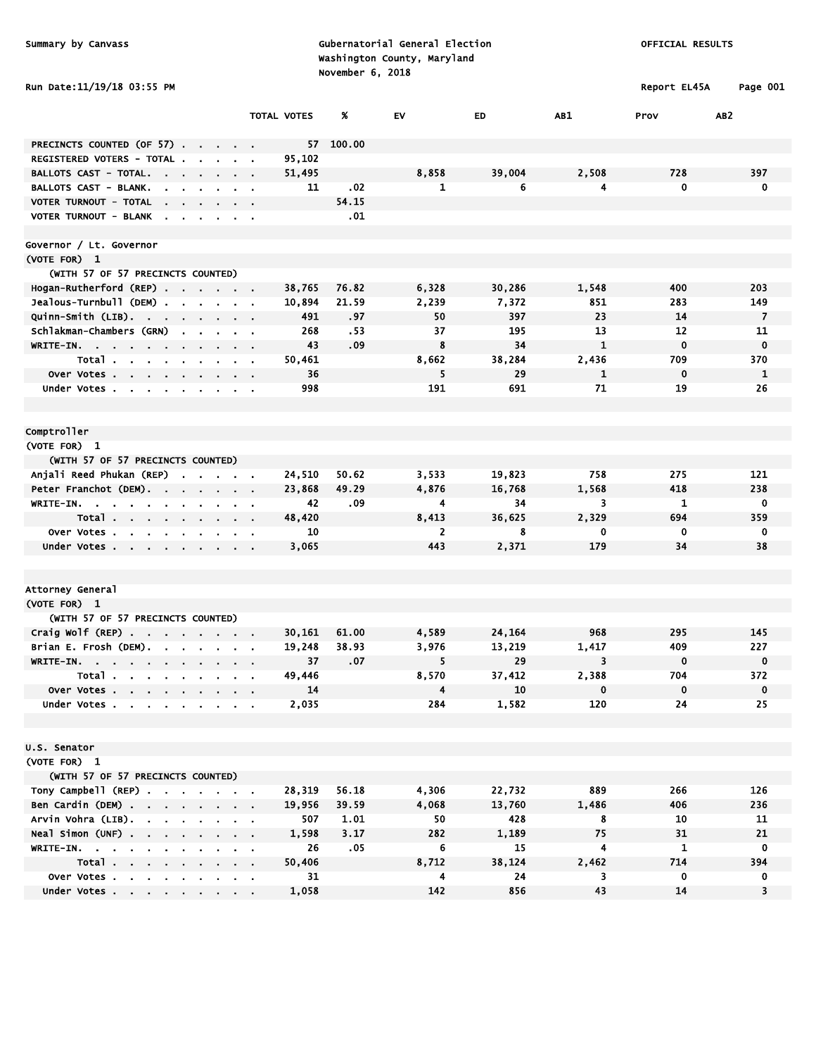|  |  | ummary by Canvass |
|--|--|-------------------|
|--|--|-------------------|

Summary by Canvass and Summary by Canvass and Subernatorial General Election of the Construction of Official RESULTS Washington County, Maryland November 6, 2018

|                            |                             | .            |          |
|----------------------------|-----------------------------|--------------|----------|
|                            | Washington County, Maryland |              |          |
|                            | November 6, 2018            |              |          |
| Run Date:11/19/18 03:55 PM |                             | Report EL45A | Page 001 |

|                                                                                                                                      |                               | <b>TOTAL VOTES</b> | %         | EV             | ED     | AB1          | Prov         | AB <sub>2</sub> |
|--------------------------------------------------------------------------------------------------------------------------------------|-------------------------------|--------------------|-----------|----------------|--------|--------------|--------------|-----------------|
|                                                                                                                                      |                               |                    |           |                |        |              |              |                 |
| PRECINCTS COUNTED (OF 57)                                                                                                            |                               |                    | 57 100.00 |                |        |              |              |                 |
| REGISTERED VOTERS - TOTAL.                                                                                                           |                               | 95,102             |           | 8,858          | 39,004 | 2,508        | 728          |                 |
| BALLOTS CAST - TOTAL.<br><b>BALLOTS CAST - BLANK.</b>                                                                                |                               | 51,495             | .02       | $\mathbf{1}$   | 6      | 4            | $\mathbf{0}$ | 397<br>0        |
|                                                                                                                                      |                               | 11                 | 54.15     |                |        |              |              |                 |
| VOTER TURNOUT - TOTAL                                                                                                                |                               |                    |           |                |        |              |              |                 |
| VOTER TURNOUT - BLANK                                                                                                                |                               |                    | .01       |                |        |              |              |                 |
| Governor / Lt. Governor                                                                                                              |                               |                    |           |                |        |              |              |                 |
| (VOTE FOR) 1                                                                                                                         |                               |                    |           |                |        |              |              |                 |
| (WITH 57 OF 57 PRECINCTS COUNTED)                                                                                                    |                               |                    |           |                |        |              |              |                 |
| Hogan-Rutherford (REP)                                                                                                               |                               | 38,765             | 76.82     | 6,328          | 30,286 | 1,548        | 400          | 203             |
| Jealous-Turnbull (DEM).<br>$\sim$<br>$\cdot$ $\cdot$ $\cdot$ $\cdot$ $\cdot$                                                         |                               | 10,894             | 21.59     | 2,239          | 7,372  | 851          | 283          | 149             |
| Quinn-Smith (LIB)<br>$\sim$<br>$\sim$ $\sim$ $\sim$                                                                                  |                               | 491                | .97       | 50             | 397    | 23           | 14           | $\overline{7}$  |
| Schlakman-Chambers (GRN)                                                                                                             |                               | 268                | - 53      | 37             | 195    | 13           | 12           | 11              |
| WRITE-IN.                                                                                                                            |                               | 43                 | .09       | 8              | 34     | 1            | $\mathbf 0$  | $\mathbf 0$     |
| Total                                                                                                                                | <b>Contract Contract</b>      | 50,461             |           | 8,662          | 38,284 | 2,436        | 709          | 370             |
| Over Votes                                                                                                                           | $\sim$ $\sim$                 | 36                 |           | 5              | 29     | $\mathbf{1}$ | 0            | $\mathbf{1}$    |
| Under Votes                                                                                                                          | $\alpha$ , $\beta$ , $\alpha$ | 998                |           | 191            | 691    | 71           | 19           | 26              |
|                                                                                                                                      |                               |                    |           |                |        |              |              |                 |
|                                                                                                                                      |                               |                    |           |                |        |              |              |                 |
| Comptroller                                                                                                                          |                               |                    |           |                |        |              |              |                 |
| (VOTE FOR) 1                                                                                                                         |                               |                    |           |                |        |              |              |                 |
| (WITH 57 OF 57 PRECINCTS COUNTED)                                                                                                    |                               |                    |           |                |        |              |              |                 |
| Anjali Reed Phukan (REP)<br>$\blacksquare$                                                                                           |                               | 24,510             | 50.62     | 3,533          | 19,823 | 758          | 275          | 121             |
| Peter Franchot (DEM).                                                                                                                |                               | 23,868             | 49.29     | 4,876          | 16,768 | 1,568        | 418          | 238             |
| WRITE-IN.<br>$\sim$                                                                                                                  |                               | 42                 | .09       | 4              | 34     | 3            | 1            | $\mathbf 0$     |
| Total                                                                                                                                | <b><i><u>ALCO</u></i></b>     | 48,420             |           | 8,413          | 36,625 | 2,329        | 694          | 359             |
| Over Votes                                                                                                                           |                               | 10                 |           | $\overline{2}$ | 8      | 0            | 0            | 0               |
| Under Votes<br>$\mathbf{a}$ , $\mathbf{a}$ , $\mathbf{a}$ , $\mathbf{a}$ , $\mathbf{a}$                                              |                               | 3,065              |           | 443            | 2,371  | 179          | 34           | 38              |
|                                                                                                                                      |                               |                    |           |                |        |              |              |                 |
|                                                                                                                                      |                               |                    |           |                |        |              |              |                 |
| Attorney General                                                                                                                     |                               |                    |           |                |        |              |              |                 |
| (VOTE FOR) 1                                                                                                                         |                               |                    |           |                |        |              |              |                 |
| (WITH 57 OF 57 PRECINCTS COUNTED)                                                                                                    |                               |                    |           |                |        |              |              |                 |
| Craig Wolf (REP) $\cdots$ $\cdots$ $\cdots$                                                                                          |                               | 30,161             | 61.00     | 4,589          | 24,164 | 968          | 295          | 145             |
| Brian E. Frosh (DEM).<br><b>Contract Contract</b>                                                                                    |                               | 19,248             | 38.93     | 3,976          | 13,219 | 1,417        | 409          | 227             |
| WRITE-IN.                                                                                                                            |                               | 37                 | .07       | 5              | 29     | 3            | $\mathbf 0$  | $\mathbf 0$     |
| Total<br><b>Service</b>                                                                                                              | $\sim 100$ km s $^{-1}$       | 49,446             |           | 8,570          | 37,412 | 2,388        | 704          | 372             |
| Over Votes                                                                                                                           |                               | 14                 |           | 4              | 10     | 0            | 0            | $\mathbf 0$     |
| Under Votes                                                                                                                          |                               | 2,035              |           | 284            | 1,582  | 120          | 24           | 25              |
|                                                                                                                                      |                               |                    |           |                |        |              |              |                 |
| U.S. Senator                                                                                                                         |                               |                    |           |                |        |              |              |                 |
| (VOTE FOR) 1                                                                                                                         |                               |                    |           |                |        |              |              |                 |
| (WITH 57 OF 57 PRECINCTS COUNTED)                                                                                                    |                               |                    |           |                |        |              |              |                 |
| Tony Campbell (REP)                                                                                                                  |                               | 28,319             | 56.18     | 4,306          | 22,732 | 889          | 266          | 126             |
| Ben Cardin (DEM)                                                                                                                     |                               | 19,956             | 39.59     | 4,068          | 13,760 | 1,486        | 406          | 236             |
| Arvin Vohra (LIB).<br>$\sim$<br>$\sim$<br>$\mathbf{r}$ .<br>$\mathbf{a}$ , $\mathbf{a}$ , $\mathbf{a}$ , $\mathbf{a}$ , $\mathbf{a}$ |                               | 507                | 1.01      | 50             | 428    | 8            | 10           | 11              |
| Neal Simon (UNF)<br>and a state of                                                                                                   |                               | 1,598              | 3.17      | 282            | 1,189  | 75           | 31           | 21              |
| WRITE-IN.                                                                                                                            |                               | 26                 | .05       | 6              | 15     | 4            | 1            | $\mathbf 0$     |
| Total.<br>$\mathbf{r} = \mathbf{r} + \mathbf{r}$ , where $\mathbf{r}$                                                                |                               | 50,406             |           | 8,712          | 38,124 | 2,462        | 714          | 394             |
| Over Votes                                                                                                                           |                               | 31                 |           | 4              | 24     | 3            | 0            | 0               |
| Under Votes                                                                                                                          |                               | 1,058              |           | 142            | 856    | 43           | 14           | 3               |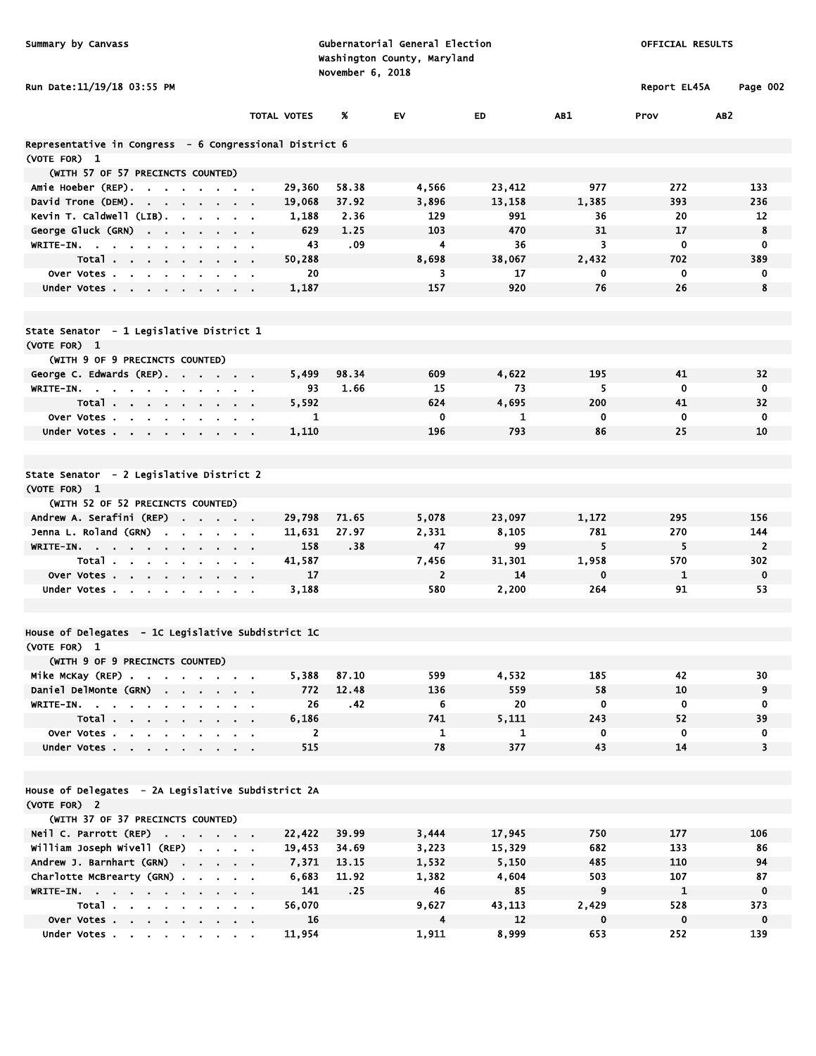| Summary by Canvass                                       |             | November 6, 2018 | Gubernatorial General Election<br>Washington County, Maryland | OFFICIAL RESULTS |             |              |                              |
|----------------------------------------------------------|-------------|------------------|---------------------------------------------------------------|------------------|-------------|--------------|------------------------------|
| Run Date:11/19/18 03:55 PM                               |             |                  |                                                               |                  |             | Report EL45A | Page 002                     |
|                                                          | TOTAL VOTES | Ж.               | EV                                                            | <b>ED</b>        | AB1         | Prov         | AB <sub>2</sub>              |
| Representative in Congress  - 6 Congressional District 6 |             |                  |                                                               |                  |             |              |                              |
| (VOTE FOR) 1                                             |             |                  |                                                               |                  |             |              |                              |
| (WITH 57 OF 57 PRECINCTS COUNTED)                        |             |                  |                                                               |                  |             |              |                              |
| Amie Hoeber (REP)                                        | 29,360      | 58.38            | 4,566                                                         | 23,412           | 977         | 272          | 133                          |
| David Trone (DEM).                                       | 19,068      | 37.92            | 3,896                                                         | 13,158           | 1,385       | 393          | 236                          |
| Kevin T. Caldwell (LIB).                                 | 1,188       | 2.36             | 129                                                           | 991              | 36          | 20           | 12                           |
| George Gluck (GRN)                                       | 629         | 1.25             | 103                                                           | 470              | 31          | 17           | 8                            |
| WRITE-IN.                                                |             | .09<br>43        | 4                                                             | 36               | 3           | 0            | 0                            |
| Total<br>Over Votes                                      | 50,288      | 20               | 8,698<br>3                                                    | 38,067<br>17     | 2,432<br>0  | 702<br>0     | 389<br>0                     |
| <b>Contract Contract</b><br>Under Votes                  | 1,187       |                  | 157                                                           | 920              | 76          | 26           | 8                            |
|                                                          |             |                  |                                                               |                  |             |              |                              |
| State Senator - 1 Legislative District 1                 |             |                  |                                                               |                  |             |              |                              |
| (VOTE FOR) 1                                             |             |                  |                                                               |                  |             |              |                              |
| (WITH 9 OF 9 PRECINCTS COUNTED)                          |             |                  |                                                               |                  |             |              |                              |
| George C. Edwards (REP).                                 | 5,499       | 98.34            | 609                                                           | 4,622            | 195         | 41           | 32                           |
| WRITE-IN.                                                |             | 1.66<br>93       | 15                                                            | 73               | 5           | $\mathbf 0$  | 0                            |
| Total                                                    | 5,592       |                  | 624                                                           | 4,695            | 200         | 41           | 32                           |
| Over Votes<br>$\alpha = 0.01$                            |             | 1                | 0                                                             | 1                | 0           | 0            | 0                            |
| Under Votes                                              | 1,110       |                  | 196                                                           | 793              | 86          | 25           | 10                           |
| State Senator - 2 Legislative District 2                 |             |                  |                                                               |                  |             |              |                              |
| (VOTE FOR) 1                                             |             |                  |                                                               |                  |             |              |                              |
| (WITH 52 OF 52 PRECINCTS COUNTED)                        |             |                  |                                                               |                  |             |              |                              |
| Andrew A. Serafini (REP)                                 | 29,798      | 71.65            | 5,078                                                         | 23,097           | 1,172       | 295          | 156                          |
| Jenna L. Roland (GRN)<br>the company of the company of   | 11,631      | 27.97            | 2,331                                                         | 8,105            | 781         | 270          | 144                          |
| WRITE-IN.                                                | 158         | .38              | 47                                                            | 99               | 5           | 5            | $\overline{2}$               |
| Total                                                    | 41,587      |                  | 7,456                                                         | 31,301           | 1,958       | 570          | 302                          |
| Over Votes                                               |             | 17               | 2                                                             | 14               | 0           | $\mathbf{1}$ | $\mathbf 0$                  |
| Under Votes                                              | 3,188       |                  | 580                                                           | 2,200            | 264         | 91           | 53                           |
| House of Delegates - 1C Legislative Subdistrict 1C       |             |                  |                                                               |                  |             |              |                              |
| (VOTE FOR) 1                                             |             |                  |                                                               |                  |             |              |                              |
| (WITH 9 OF 9 PRECINCTS COUNTED)                          |             |                  |                                                               |                  |             |              |                              |
| Mike McKay (REP)                                         | 5,388       | 87.10            | 599                                                           | 4,532            | 185         | 42           | 30                           |
| Daniel DelMonte (GRN)<br>$\mathbf{r} = \mathbf{r}$       | 772         | 12.48            | 136                                                           | 559              | 58          | 10           | 9                            |
| WRITE-IN. .<br>$\sim$                                    |             | 26<br>.42        | 6                                                             | 20               | $\mathbf 0$ | $\mathbf 0$  | 0                            |
| Total                                                    | 6,186       |                  | 741                                                           | 5.111            | 243         | 52           | 39                           |
| Over Votes<br>Under Votes                                | 515         | $\mathbf{2}$     | $\mathbf{1}$<br>78                                            | 1<br>377         | 0<br>43     | 0<br>14      | 0<br>$\overline{\mathbf{3}}$ |
|                                                          |             |                  |                                                               |                  |             |              |                              |
| House of Delegates - 2A Legislative Subdistrict 2A       |             |                  |                                                               |                  |             |              |                              |
| (VOTE FOR) 2                                             |             |                  |                                                               |                  |             |              |                              |
| (WITH 37 OF 37 PRECINCTS COUNTED)                        |             |                  |                                                               |                  |             |              |                              |
| Neil C. Parrott (REP)                                    | 22,422      | 39.99            | 3,444                                                         | 17,945           | 750         | 177          | 106                          |
| William Joseph Wivell (REP)                              | 19,453      | 34.69            | 3,223                                                         | 15,329           | 682         | 133          | 86                           |
| Andrew J. Barnhart (GRN)                                 | 7,371       | 13.15            | 1,532                                                         | 5,150            | 485         | 110          | 94                           |
| Charlotte McBrearty (GRN)                                | 6,683       | 11.92            | 1,382                                                         | 4,604            | 503         | 107          | 87                           |
| WRITE-IN.                                                | 141         | .25              | 46                                                            | 85               | 9           | $\mathbf{1}$ | $\mathbf 0$                  |
| Total                                                    | 56,070      |                  | 9,627                                                         | 43,113           | 2,429       | 528          | 373                          |
| Over Votes                                               |             | 16               | 4                                                             | 12               | $\mathbf 0$ | $\mathbf 0$  | $\mathbf 0$                  |
| Under Votes                                              | 11,954      |                  | 1,911                                                         | 8,999            | 653         | 252          | 139                          |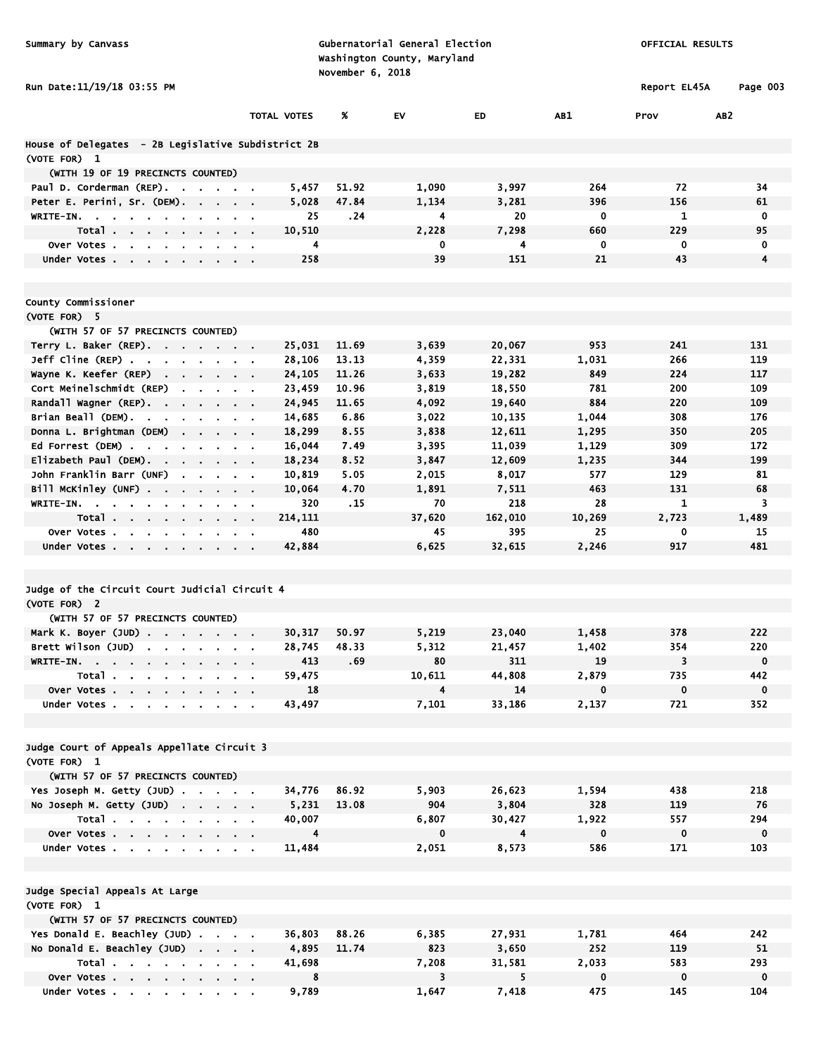| Summary by Canvass                                              |                           | Gubernatorial General Election<br>Washington County, Maryland<br>November 6, 2018 |              |                 | OFFICIAL RESULTS |              |                 |
|-----------------------------------------------------------------|---------------------------|-----------------------------------------------------------------------------------|--------------|-----------------|------------------|--------------|-----------------|
| Run Date:11/19/18 03:55 PM                                      |                           |                                                                                   |              |                 |                  | Report EL45A | Page 003        |
|                                                                 | <b>TOTAL VOTES</b>        | Х                                                                                 | EV           | <b>ED</b>       | AB1              | Prov         | AB <sub>2</sub> |
| House of Delegates - 2B Legislative Subdistrict 2B              |                           |                                                                                   |              |                 |                  |              |                 |
| (VOTE FOR) 1                                                    |                           |                                                                                   |              |                 |                  |              |                 |
| (WITH 19 OF 19 PRECINCTS COUNTED)                               |                           |                                                                                   |              |                 |                  |              |                 |
| Paul D. Corderman (REP).                                        | 5,457                     | 51.92                                                                             | 1,090        | 3,997           | 264              | 72           | 34              |
| Peter E. Perini, Sr. (DEM).                                     | 5,028                     | 47.84                                                                             | 1,134        | 3,281           | 396              | 156          | 61              |
| WRITE-IN.                                                       | 25                        | . 24                                                                              | 4            | 20              | 0                | 1            | 0               |
| Total                                                           | 10,510                    |                                                                                   | 2,228        | 7,298           | 660              | 229          | 95              |
| Over Votes<br>$\sim$<br>$\sim$                                  |                           | 4                                                                                 | 0            | 4               | 0                | 0            | 0<br>4          |
| Under Votes                                                     | 258                       |                                                                                   | 39           | 151             | 21               | 43           |                 |
| County Commissioner                                             |                           |                                                                                   |              |                 |                  |              |                 |
| (VOTE FOR) 5                                                    |                           |                                                                                   |              |                 |                  |              |                 |
| (WITH 57 OF 57 PRECINCTS COUNTED)                               |                           |                                                                                   |              |                 |                  |              |                 |
| Terry L. Baker (REP).                                           | 25,031                    | 11.69                                                                             | 3,639        | 20,067          | 953              | 241          | 131             |
| $Jeff$ Cline (REP) $\cdots$ $\cdots$ $\cdots$                   | 28,106                    | 13.13                                                                             | 4,359        | 22,331          | 1,031            | 266          | 119             |
| Wayne K. Keefer (REP)                                           | 24, 105                   | 11.26                                                                             | 3,633        | 19,282          | 849              | 224          | 117             |
| Cort Meinelschmidt (REP)<br>the contract of the contract of the | 23,459                    | 10.96                                                                             | 3,819        | 18,550          | 781              | 200          | 109             |
| Randall wagner (REP).                                           | 24,945                    | 11.65                                                                             | 4,092        | 19,640          | 884              | 220          | 109             |
| Brian Beall (DEM).<br>the company of the company of the         | 14,685                    | 6.86                                                                              | 3,022        | 10,135          | 1,044            | 308          | 176             |
| Donna L. Brightman (DEM)                                        | 18,299                    | 8.55                                                                              | 3,838        | 12,611          | 1,295            | 350          | 205             |
| Ed Forrest (DEM)                                                | 16,044                    | 7.49                                                                              | 3,395        | 11,039          | 1,129            | 309          | 172             |
| $E$ lizabeth Paul (DEM).                                        | 18,234                    | 8.52                                                                              | 3,847        | 12,609          | 1,235            | 344          | 199             |
| John Franklin Barr (UNF)                                        | 10,819                    | 5.05                                                                              | 2,015        | 8,017           | 577              | 129          | 81              |
| Bill McKinley (UNF)                                             | 10,064                    | 4.70                                                                              | 1,891        | 7,511           | 463              | 131          | 68              |
| <b>WRITE-IN.</b>                                                | 320                       | .15                                                                               | 70           | 218             | 28               | 1            | 3               |
| Total<br>$\sim$                                                 | 214,111<br>$\blacksquare$ |                                                                                   | 37,620       | 162,010         | 10,269           | 2,723        | 1,489           |
| Over Votes<br>$\sim$                                            | 480                       |                                                                                   | 45           | 395             | 25               | 0            | 15              |
| Under Votes                                                     | 42,884                    |                                                                                   | 6,625        | 32,615          | 2,246            | 917          | 481             |
| Judge of the Circuit Court Judicial Circuit 4                   |                           |                                                                                   |              |                 |                  |              |                 |
| (VOTE FOR) 2                                                    |                           |                                                                                   |              |                 |                  |              |                 |
| (WITH 57 OF 57 PRECINCTS COUNTED)                               |                           |                                                                                   |              |                 |                  |              |                 |
| Mark K. Boyer (JUD)                                             | 30,317                    | 50.97                                                                             | 5,219        | 23,040          | 1,458            | 378          | 222             |
| Brett Wilson (JUD) $\cdots$                                     | 28,745                    | 48.33                                                                             | 5,312        | 21,457          | 1,402            | 354          | 220             |
| WRITE-IN.<br>$\mathbf{a} = \mathbf{a} \cdot \mathbf{a}$         | 413                       | .69                                                                               | 80           | 311             | 19               | 3            | $\mathbf 0$     |
| Total                                                           | 59,475                    |                                                                                   | 10,611       | 44,808          | 2,879            | 735          | 442             |
| Over Votes                                                      | 18                        |                                                                                   | 4            | 14              | $\mathbf 0$      | $\mathbf 0$  | $\mathbf 0$     |
| Under Votes                                                     | 43,497                    |                                                                                   | 7,101        | 33,186          | 2,137            | 721          | 352             |
|                                                                 |                           |                                                                                   |              |                 |                  |              |                 |
| Judge Court of Appeals Appellate Circuit 3                      |                           |                                                                                   |              |                 |                  |              |                 |
| (VOTE FOR) 1                                                    |                           |                                                                                   |              |                 |                  |              |                 |
| (WITH 57 OF 57 PRECINCTS COUNTED)                               |                           |                                                                                   |              |                 |                  |              |                 |
| Yes Joseph M. Getty (JUD)                                       | 34,776                    | 86.92                                                                             | 5,903<br>904 | 26,623<br>3,804 | 1,594<br>328     | 438          | 218             |
| No Joseph M. Getty (JUD)<br>Total $\cdots$ $\cdots$ $\cdots$    | 5,231<br>40,007           | 13.08                                                                             | 6,807        | 30,427          | 1,922            | 119<br>557   | 76<br>294       |
| Over Votes                                                      |                           | $\overline{4}$                                                                    | $\mathbf 0$  | $\overline{4}$  | $\mathbf 0$      | $\mathbf 0$  | $\mathbf 0$     |
| Under Votes                                                     | 11,484                    |                                                                                   | 2,051        | 8,573           | 586              | 171          | 103             |
|                                                                 |                           |                                                                                   |              |                 |                  |              |                 |
| Judge Special Appeals At Large                                  |                           |                                                                                   |              |                 |                  |              |                 |
| (VOTE FOR) 1                                                    |                           |                                                                                   |              |                 |                  |              |                 |
| (WITH 57 OF 57 PRECINCTS COUNTED)                               |                           |                                                                                   |              |                 |                  |              |                 |
| Yes Donald E. Beachley (JUD)                                    | 36,803                    | 88.26                                                                             | 6,385        | 27,931          | 1,781            | 464          | 242             |
| No Donald E. Beachley (JUD)                                     | 4,895                     | 11.74                                                                             | 823          | 3,650           | 252              | 119          | 51              |
| Total                                                           | 41,698                    |                                                                                   | 7,208        | 31,581          | 2,033            | 583          | 293             |
| Over Votes                                                      |                           | 8                                                                                 | 3            | 5               | $\mathbf 0$      | $\mathbf 0$  | $\mathbf 0$     |
| Under Votes                                                     | 9,789                     |                                                                                   | 1,647        | 7,418           | 475              | 145          | 104             |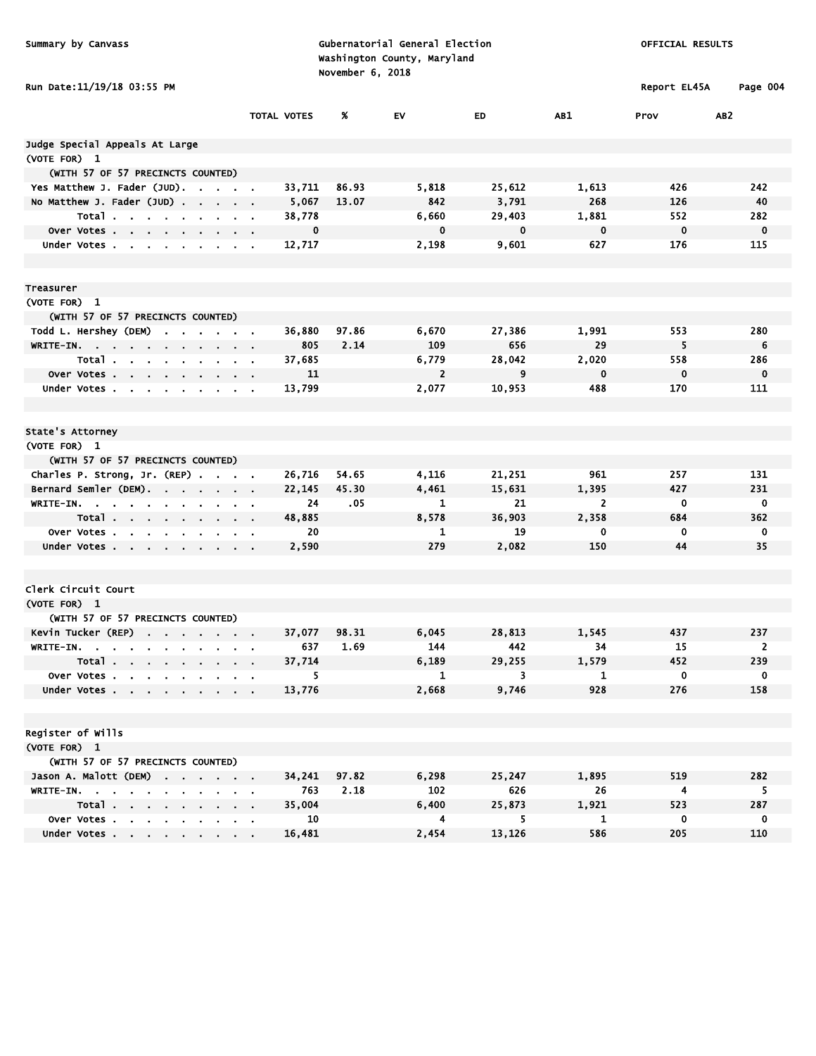| Summary by Canvass                                                        |                  |                    | November 6, 2018 | Gubernatorial General Election<br>Washington County, Maryland |               | OFFICIAL RESULTS |                       |                 |
|---------------------------------------------------------------------------|------------------|--------------------|------------------|---------------------------------------------------------------|---------------|------------------|-----------------------|-----------------|
| Run Date:11/19/18 03:55 PM                                                |                  |                    |                  |                                                               |               |                  | Report EL45A          | Page 004        |
|                                                                           |                  | <b>TOTAL VOTES</b> | %                | EV                                                            | ED.           | AB1              | Prov                  | AB <sub>2</sub> |
| Judge Special Appeals At Large                                            |                  |                    |                  |                                                               |               |                  |                       |                 |
| (VOTE FOR) 1                                                              |                  |                    |                  |                                                               |               |                  |                       |                 |
| (WITH 57 OF 57 PRECINCTS COUNTED)                                         |                  |                    |                  |                                                               |               |                  |                       |                 |
| Yes Matthew J. Fader (JUD).                                               |                  | 33,711             | 86.93            | 5,818                                                         | 25,612        | 1,613            | 426                   | 242             |
| No Matthew J. Fader (JUD)                                                 |                  | 5,067              | 13.07            | 842                                                           | 3,791         | 268              | 126                   | 40              |
| Total                                                                     |                  | 38,778             |                  | 6,660                                                         | 29,403        | 1,881            | 552                   | 282             |
| Over Votes<br>$\alpha = 0.01$                                             |                  | 0                  |                  | 0                                                             | 0             | $\mathbf 0$      | $\mathbf 0$           | $\mathbf 0$     |
| Under Votes<br>$\sim 10^{-11}$                                            |                  | 12,717             |                  | 2,198                                                         | 9,601         | 627              | 176                   | 115             |
| Treasurer                                                                 |                  |                    |                  |                                                               |               |                  |                       |                 |
| (VOTE FOR) 1                                                              |                  |                    |                  |                                                               |               |                  |                       |                 |
| (WITH 57 OF 57 PRECINCTS COUNTED)                                         |                  |                    |                  |                                                               |               |                  |                       |                 |
| Todd L. Hershey (DEM)<br><b>Contract Contract Contract</b>                |                  | 36,880             | 97.86            | 6,670                                                         | 27,386        | 1,991            | 553                   | 280             |
| WRITE-IN.                                                                 |                  | 805                | 2.14             | 109                                                           | 656           | 29               | 5                     | 6               |
| Total                                                                     |                  | 37,685             |                  | 6,779                                                         | 28,042        | 2,020            | 558                   | 286             |
| Over Votes                                                                |                  | 11                 |                  | $\overline{2}$                                                | 9             | $\mathbf 0$      | 0                     | $\mathbf 0$     |
| Under Votes<br>$\sim 10^{-10}$ m $^{-1}$                                  |                  | 13,799             |                  | 2,077                                                         | 10,953        | 488              | 170                   | 111             |
| State's Attorney                                                          |                  |                    |                  |                                                               |               |                  |                       |                 |
| (VOTE FOR) 1                                                              |                  |                    |                  |                                                               |               |                  |                       |                 |
| (WITH 57 OF 57 PRECINCTS COUNTED)                                         |                  |                    |                  |                                                               |               |                  |                       |                 |
| Charles P. Strong, Jr. (REP)                                              |                  | 26,716             | 54.65            | 4,116                                                         | 21,251        | 961              | 257                   | 131             |
| Bernard Semler (DEM).                                                     |                  | 22,145             | 45.30            | 4,461                                                         | 15,631        | 1,395            | 427                   | 231             |
| WRITE-IN. .<br><b>Contract</b><br>$\sim$<br>the company of the company of |                  | 24                 | .05              | 1                                                             | 21            | 2                | 0                     | 0               |
| Total                                                                     | $\sim$ $\sim$    | 48,885             |                  | 8,578                                                         | 36,903        | 2,358            | 684                   | 362             |
| over Votes.<br>and the company of the company of                          | $\sim$ 100 $\pm$ | 20                 |                  | 1                                                             | 19            | 0                | 0                     | 0               |
| Under Votes                                                               |                  | 2,590              |                  | 279                                                           | 2,082         | 150              | 44                    | 35              |
| Clerk Circuit Court                                                       |                  |                    |                  |                                                               |               |                  |                       |                 |
| (VOTE FOR) 1                                                              |                  |                    |                  |                                                               |               |                  |                       |                 |
| (WITH 57 OF 57 PRECINCTS COUNTED)                                         |                  |                    |                  |                                                               |               |                  |                       |                 |
| Kevin Tucker (REP)                                                        |                  | 37,077             | 98.31            | 6,045                                                         | 28,813        | 1,545            | 437                   | 237             |
| WRITE-IN.                                                                 |                  | 637                | 1.69             | 144                                                           | 442           | 34               | 15                    | $\overline{2}$  |
| Total                                                                     |                  | 37,714             |                  | 6,189                                                         | 29,255        | 1,579            | 452                   | 239             |
| Over Votes                                                                |                  | 5                  |                  | $\mathbf{1}$                                                  | 3             | 1                | $\mathbf 0$           | $\mathbf 0$     |
| Under Votes                                                               |                  | 13,776             |                  | 2,668                                                         | 9,746         | 928              | 276                   | 158             |
| Register of Wills                                                         |                  |                    |                  |                                                               |               |                  |                       |                 |
| (VOTE FOR) 1                                                              |                  |                    |                  |                                                               |               |                  |                       |                 |
| (WITH 57 OF 57 PRECINCTS COUNTED)                                         |                  |                    |                  |                                                               |               |                  |                       |                 |
| Jason A. Malott (DEM)                                                     |                  | 34,241             | 97.82            | 6,298<br>102                                                  | 25,247<br>626 | 1,895            | 519                   | 282             |
| WRITE-IN.<br>Total                                                        |                  | 763<br>35,004      | 2.18             | 6,400                                                         | 25,873        | 26<br>1,921      | $\overline{4}$<br>523 | 5<br>287        |
| Over Votes                                                                |                  | 10                 |                  | 4                                                             | 5.            | 1                | 0                     | $\mathbf 0$     |
| Under Votes                                                               |                  | 16,481             |                  | 2,454                                                         | 13,126        | 586              | 205                   | 110             |
|                                                                           |                  |                    |                  |                                                               |               |                  |                       |                 |